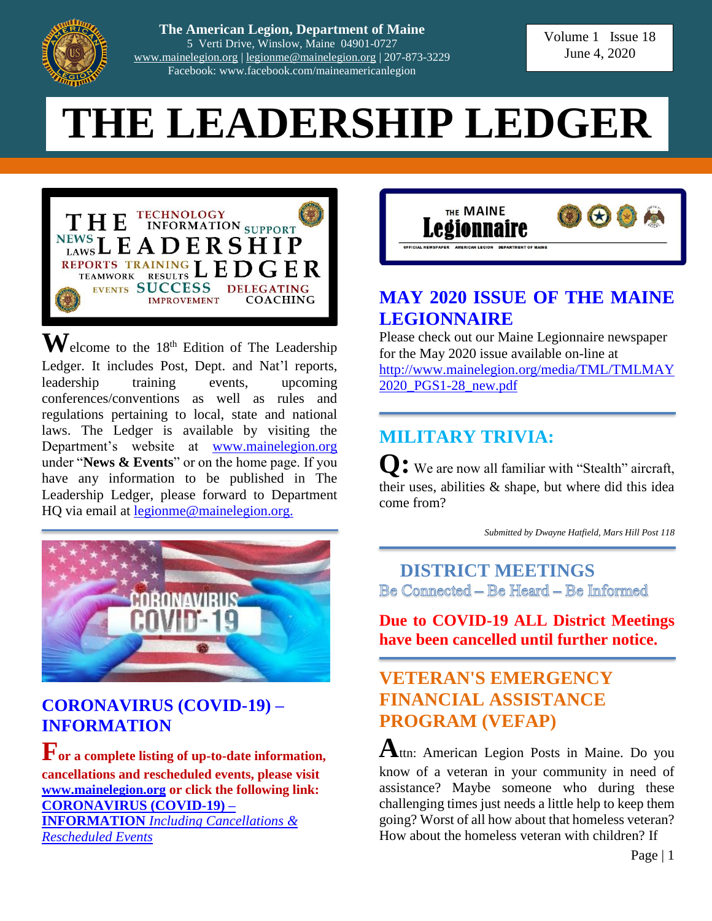

**The American Legion, Department of Maine** 5 Verti Drive, Winslow, Maine 04901-0727 [www.mainelegion.org](http://www.mainelegion.org/) | [legionme@mainelegion.org](mailto:legionme@mainelegion.org) | 207-873-3229 Facebook: www.facebook.com/maineamericanlegion

Volume 1 Issue 18 June 4, 2020

# **THE LEADERSHIP LEDGER**



 $\mathbf{W}$ elcome to the 18<sup>th</sup> Edition of The Leadership Ledger. It includes Post, Dept. and Nat'l reports, leadership training events, upcoming conferences/conventions as well as rules and regulations pertaining to local, state and national laws. The Ledger is available by visiting the Department's website at [www.mainelegion.org](http://www.mainelegion.org/) under "**News & Events**" or on the home page. If you have any information to be published in The Leadership Ledger, please forward to Department HQ via email at [legionme@mainelegion.org.](mailto:legionme@mainelegion.org)



### **[CORONAVIRUS \(COVID-19\)](http://www.mainelegion.org/pages/news-events/covid-19-info.php) – [INFORMATION](http://www.mainelegion.org/pages/news-events/covid-19-info.php)**

**For a complete listing of up-to-date information, cancellations and rescheduled events, please visit [www.mainelegion.org](http://www.mainelegion.org/) or click the following link: [CORONAVIRUS \(COVID-19\) –](http://www.mainelegion.org/pages/news-events/covid-19-info.php) INFORMATION** *[Including Cancellations &](http://www.mainelegion.org/pages/news-events/covid-19-info.php)* 

*[Rescheduled Events](http://www.mainelegion.org/pages/news-events/covid-19-info.php)*



### **[MAY 2020 ISSUE](http://www.mainelegion.org/media/TML/TMLMAY2020_PGS1-28_new.pdf) OF THE MAINE [LEGIONNAIRE](http://www.mainelegion.org/media/TML/TMLMAY2020_PGS1-28_new.pdf)**

Please check out our Maine Legionnaire newspaper for the May 2020 issue available on-line at [http://www.mainelegion.org/media/TML/TMLMAY](http://www.mainelegion.org/media/TML/TMLMAY2020_PGS1-28_new.pdf) [2020\\_PGS1-28\\_new.pdf](http://www.mainelegion.org/media/TML/TMLMAY2020_PGS1-28_new.pdf)

## **MILITARY TRIVIA:**

**Q:** We are now all familiar with "Stealth" aircraft, their uses, abilities & shape, but where did this idea come from?

*Submitted by Dwayne Hatfield, Mars Hill Post 118*

**DISTRICT MEETINGS** Be Connected - Be Heard - Be Informed

**Due to COVID-19 ALL District Meetings have been cancelled until further notice.**

## **VETERAN'S EMERGENCY FINANCIAL ASSISTANCE PROGRAM (VEFAP)**

**A**ttn: American Legion Posts in Maine. Do you know of a veteran in your community in need of assistance? Maybe someone who during these challenging times just needs a little help to keep them going? Worst of all how about that homeless veteran? How about the homeless veteran with children? If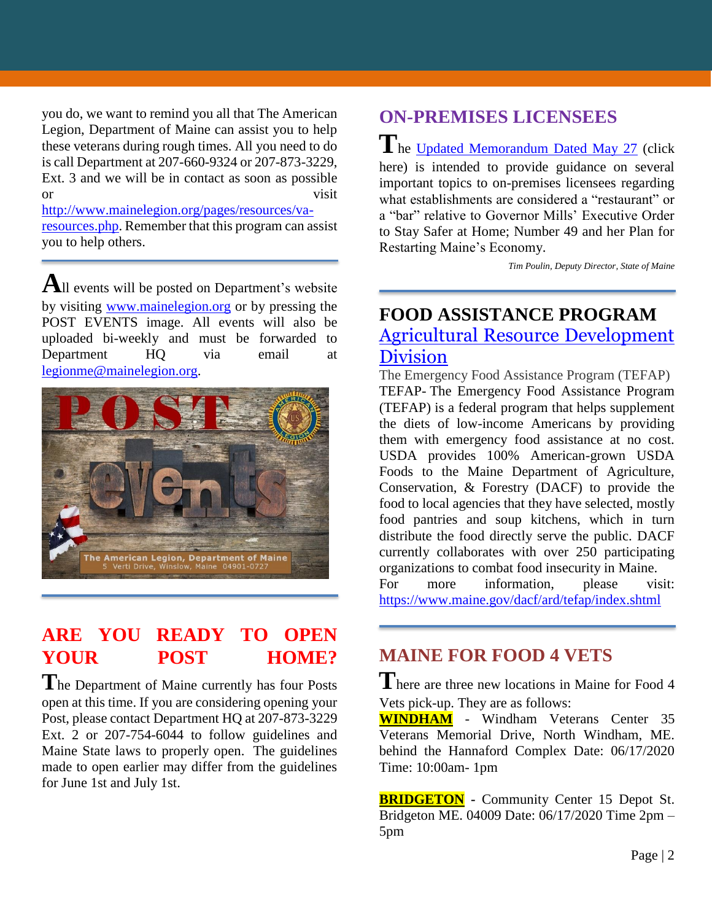you do, we want to remind you all that The American Legion, Department of Maine can assist you to help these veterans during rough times. All you need to do is call Department at 207-660-9324 or 207-873-3229, Ext. 3 and we will be in contact as soon as possible or visit

[http://www.mainelegion.org/pages/resources/va](http://www.mainelegion.org/pages/resources/va-resources.php)[resources.php.](http://www.mainelegion.org/pages/resources/va-resources.php) Remember that this program can assist you to help others.

**A**ll events will be posted on Department's website by visiting [www.mainelegion.org](http://www.mainelegion.org/) or by pressing the POST EVENTS image. All events will also be uploaded bi-weekly and must be forwarded to Department HQ via email at [legionme@mainelegion.org.](mailto:legionme@mainelegion.org)



### **ARE YOU READY TO OPEN YOUR POST HOME?**

**T**he Department of Maine currently has four Posts open at this time. If you are considering opening your Post, please contact Department HQ at 207-873-3229 Ext. 2 or 207-754-6044 to follow guidelines and Maine State laws to properly open. The guidelines made to open earlier may differ from the guidelines for June 1st and July 1st.

## **ON-PREMISES LICENSEES**

The [Updated Memorandum Dated May 27](https://www.maine.gov/dafs/bablo/sites/maine.gov.dafs.bablo/files/inline-files/Updated%20Guidance%20for%20openings%20of%20restaurants%20for%20May%2018th%20and%20June%201st_0.pdf) (click here) is intended to provide guidance on several important topics to on-premises licensees regarding what establishments are considered a "restaurant" or a "bar" relative to Governor Mills' Executive Order to Stay Safer at Home; Number 49 and her Plan for Restarting Maine's Economy.

*Tim Poulin, Deputy Director, State of Maine*

#### **FOOD ASSISTANCE PROGRAM** [Agricultural Resource Development](https://www.maine.gov/dacf/ard/tefap/index.shtml)  **[Division](https://www.maine.gov/dacf/ard/tefap/index.shtml)**

The Emergency Food Assistance Program (TEFAP) TEFAP- The Emergency Food Assistance Program (TEFAP) is a federal program that helps supplement the diets of low-income Americans by providing them with emergency food assistance at no cost. USDA provides 100% American-grown USDA Foods to the Maine Department of Agriculture, Conservation, & Forestry (DACF) to provide the food to local agencies that they have selected, mostly food pantries and soup kitchens, which in turn distribute the food directly serve the public. DACF currently collaborates with over 250 participating organizations to combat food insecurity in Maine.

For more information, please visit: <https://www.maine.gov/dacf/ard/tefap/index.shtml>

## **MAINE FOR FOOD 4 VETS**

**T**here are three new locations in Maine for Food 4 Vets pick-up. They are as follows:

**WINDHAM** - Windham Veterans Center 35 Veterans Memorial Drive, North Windham, ME. behind the Hannaford Complex Date: 06/17/2020 Time: 10:00am- 1pm

**BRIDGETON -** Community Center 15 Depot St. Bridgeton ME. 04009 Date: 06/17/2020 Time 2pm – 5pm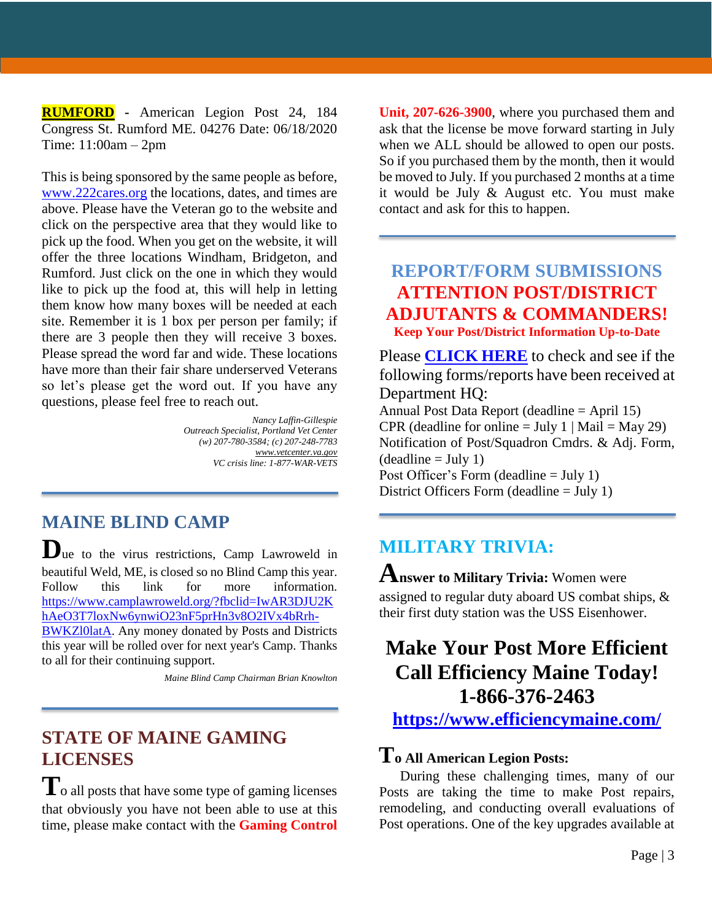**RUMFORD -** American Legion Post 24, 184 Congress St. Rumford ME. 04276 Date: 06/18/2020 Time: 11:00am – 2pm

This is being sponsored by the same people as before, [www.222cares.org](http://www.222cares.org/) the locations, dates, and times are above. Please have the Veteran go to the website and click on the perspective area that they would like to pick up the food. When you get on the website, it will offer the three locations Windham, Bridgeton, and Rumford. Just click on the one in which they would like to pick up the food at, this will help in letting them know how many boxes will be needed at each site. Remember it is 1 box per person per family; if there are 3 people then they will receive 3 boxes. Please spread the word far and wide. These locations have more than their fair share underserved Veterans so let's please get the word out. If you have any questions, please feel free to reach out.

> *Nancy Laffin-Gillespie Outreach Specialist, Portland Vet Center (w) 207-780-3584; (c) 207-248-7783 [www.vetcenter.va.gov](http://www.vetcenter.va.gov/) VC crisis line: 1-877-WAR-VETS*

**MAINE BLIND CAMP**

**D**ue to the virus restrictions, Camp Lawroweld in beautiful Weld, ME, is closed so no Blind Camp this year. Follow this link for more information. [https://www.camplawroweld.org/?fbclid=IwAR3DJU2K](https://www.camplawroweld.org/?fbclid=IwAR3DJU2KhAeO3T7loxNw6ynwiO23nF5prHn3v8O2IVx4bRrh-BWKZl0latA) [hAeO3T7loxNw6ynwiO23nF5prHn3v8O2IVx4bRrh-](https://www.camplawroweld.org/?fbclid=IwAR3DJU2KhAeO3T7loxNw6ynwiO23nF5prHn3v8O2IVx4bRrh-BWKZl0latA)

[BWKZl0latA.](https://www.camplawroweld.org/?fbclid=IwAR3DJU2KhAeO3T7loxNw6ynwiO23nF5prHn3v8O2IVx4bRrh-BWKZl0latA) Any money donated by Posts and Districts this year will be rolled over for next year's Camp. Thanks to all for their continuing support.

*Maine Blind Camp Chairman Brian Knowlton*

#### **STATE OF MAINE GAMING LICENSES**

 $\mathbf{T}_\text{o}$  all posts that have some type of gaming licenses that obviously you have not been able to use at this time, please make contact with the **Gaming Control** 

**Unit, 207-626-3900**, where you purchased them and ask that the license be move forward starting in July when we ALL should be allowed to open our posts. So if you purchased them by the month, then it would be moved to July. If you purchased 2 months at a time it would be July & August etc. You must make contact and ask for this to happen.

## **REPORT/FORM SUBMISSIONS ATTENTION POST/DISTRICT ADJUTANTS & COMMANDERS!**

**Keep Your Post/District Information Up-to-Date**

Please **[CLICK HERE](http://www.mainelegion.org/media/LEADERSHIP_LEDGER/EXCEL_POST_FORMS_-_06042020.pdf)** to check and see if the following forms/reports have been received at Department HQ:

Annual Post Data Report (deadline  $=$  April 15) CPR (deadline for online = July 1 | Mail = May 29) Notification of Post/Squadron Cmdrs. & Adj. Form,  $(deadline = July 1)$ Post Officer's Form (deadline = July 1) District Officers Form (deadline = July 1)

## **MILITARY TRIVIA:**

#### **Answer to Military Trivia:** Women were assigned to regular duty aboard US combat ships, & their first duty station was the USS Eisenhower.

## **Make Your Post More Efficient Call Efficiency Maine Today! 1-866-376-2463**

**<https://www.efficiencymaine.com/>**

### **To All American Legion Posts:**

During these challenging times, many of our Posts are taking the time to make Post repairs, remodeling, and conducting overall evaluations of Post operations. One of the key upgrades available at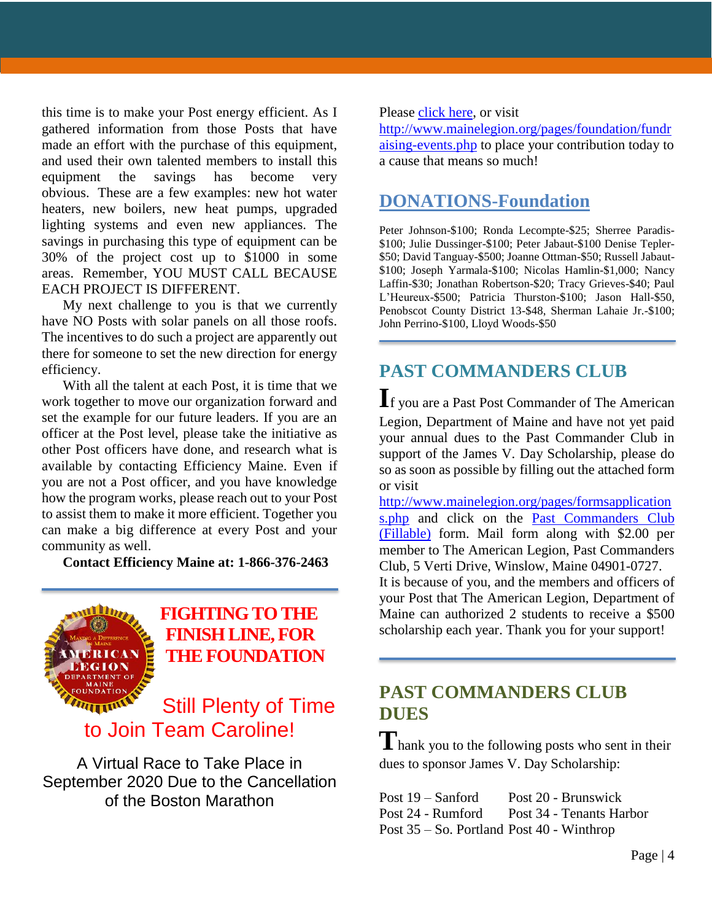this time is to make your Post energy efficient. As I gathered information from those Posts that have made an effort with the purchase of this equipment, and used their own talented members to install this equipment the savings has become very obvious. These are a few examples: new hot water heaters, new boilers, new heat pumps, upgraded lighting systems and even new appliances. The savings in purchasing this type of equipment can be 30% of the project cost up to \$1000 in some areas. Remember, YOU MUST CALL BECAUSE EACH PROJECT IS DIFFERENT.

My next challenge to you is that we currently have NO Posts with solar panels on all those roofs. The incentives to do such a project are apparently out there for someone to set the new direction for energy efficiency.

With all the talent at each Post, it is time that we work together to move our organization forward and set the example for our future leaders. If you are an officer at the Post level, please take the initiative as other Post officers have done, and research what is available by contacting Efficiency Maine. Even if you are not a Post officer, and you have knowledge how the program works, please reach out to your Post to assist them to make it more efficient. Together you can make a big difference at every Post and your community as well.

**Contact Efficiency Maine at: 1-866-376-2463**



#### **[FIGHTING TO THE](https://www.gofundme.com/f/5hx779-a-cause-i-care-about-needs-help?utm_source=customer&utm_medium=copy_link&utm_campaign=p_cf+share-flow-1)  [FINISH LINE, FOR](https://www.gofundme.com/f/5hx779-a-cause-i-care-about-needs-help?utm_source=customer&utm_medium=copy_link&utm_campaign=p_cf+share-flow-1)  [THE FOUNDATION](https://www.gofundme.com/f/5hx779-a-cause-i-care-about-needs-help?utm_source=customer&utm_medium=copy_link&utm_campaign=p_cf+share-flow-1)**

## Still Plenty of Time to Join Team Caroline!

A Virtual Race to Take Place in September 2020 Due to the Cancellation of the Boston Marathon

Please [click here,](https://www.gofundme.com/f/5hx779-a-cause-i-care-about-needs-help?utm_source=customer&utm_medium=copy_link&utm_campaign=p_cf+share-flow-1) or visit

[http://www.mainelegion.org/pages/foundation/fundr](http://www.mainelegion.org/pages/foundation/fundraising-events.php) [aising-events.php](http://www.mainelegion.org/pages/foundation/fundraising-events.php) to place your contribution today to a cause that means so much!

#### **DONATIONS-Foundation**

Peter Johnson-\$100; Ronda Lecompte-\$25; Sherree Paradis- \$100; Julie Dussinger-\$100; Peter Jabaut-\$100 Denise Tepler- \$50; David Tanguay-\$500; Joanne Ottman-\$50; Russell Jabaut- \$100; Joseph Yarmala-\$100; Nicolas Hamlin-\$1,000; Nancy Laffin-\$30; Jonathan Robertson-\$20; Tracy Grieves-\$40; Paul L'Heureux-\$500; Patricia Thurston-\$100; Jason Hall-\$50, Penobscot County District 13-\$48, Sherman Lahaie Jr.-\$100; John Perrino-\$100, Lloyd Woods-\$50

## **PAST COMMANDERS CLUB**

**I**f you are a Past Post Commander of The American Legion, Department of Maine and have not yet paid your annual dues to the Past Commander Club in support of the James V. Day Scholarship, please do so as soon as possible by filling out the attached form or visit

[http://www.mainelegion.org/pages/formsapplication](http://www.mainelegion.org/pages/formsapplications.php) [s.php](http://www.mainelegion.org/pages/formsapplications.php) and click on the [Past Commanders Club](http://www.mainelegion.org/media/LEADERSHIP_LEDGER/PCC_2018_FILLABLE_2.pdf)  [\(Fillable\)](http://www.mainelegion.org/media/LEADERSHIP_LEDGER/PCC_2018_FILLABLE_2.pdf) form. Mail form along with \$2.00 per member to The American Legion, Past Commanders Club, 5 Verti Drive, Winslow, Maine 04901-0727. It is because of you, and the members and officers of your Post that The American Legion, Department of Maine can authorized 2 students to receive a \$500 scholarship each year. Thank you for your support!

## **PAST COMMANDERS CLUB DUES**

**T**hank you to the following posts who sent in their dues to sponsor James V. Day Scholarship:

Post 19 – Sanford Post 20 - Brunswick Post 24 - Rumford Post 34 - Tenants Harbor Post 35 – So. Portland Post 40 - Winthrop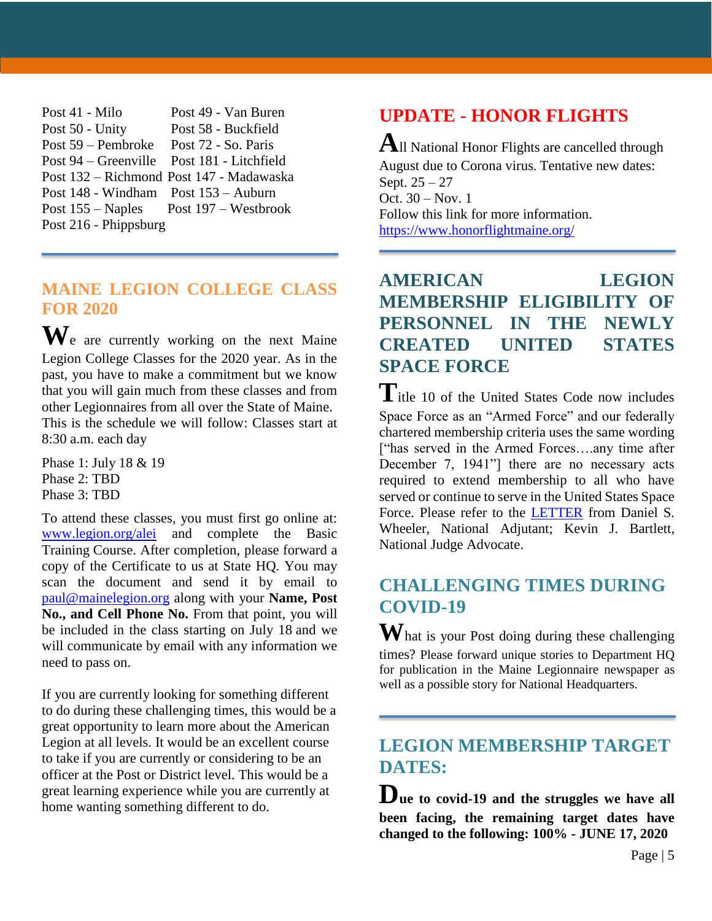| Post 41 - Milo                             | Post 49 - Van Buren                                      |
|--------------------------------------------|----------------------------------------------------------|
| Post 50 - Unity                            | Post 58 - Buckfield                                      |
| Post 59 – Pembroke Post 72 - So. Paris     |                                                          |
| Post 94 – Greenville Post 181 - Litchfield |                                                          |
|                                            | Post 132 – Richmond Post 147 - Madawaska                 |
| Post 148 - Windham Post 153 - Auburn       |                                                          |
|                                            | Post $155 - \text{Naples}$ Post $197 - \text{Westbrook}$ |
| Post 216 - Phippsburg                      |                                                          |

#### **MAINE LEGION COLLEGE CLASS FOR 2020**

**W**e are currently working on the next Maine Legion College Classes for the 2020 year. As in the past, you have to make a commitment but we know that you will gain much from these classes and from other Legionnaires from all over the State of Maine. This is the schedule we will follow: Classes start at 8:30 a.m. each day

Phase 1: July 18 & 19 Phase 2: TBD Phase 3: TBD

To attend these classes, you must first go online at: [www.legion.org/alei](http://www.legion.org/alei) and complete the Basic Training Course. After completion, please forward a copy of the Certificate to us at State HQ. You may scan the document and send it by email to [paul@mainelegion.org](mailto:paul@mainelegion.org) along with your **Name, Post** No., and Cell Phone No. From that point, you will be included in the class starting on July 18 and we will communicate by email with any information we need to pass on.

If you are currently looking for something different to do during these challenging times, this would be a great opportunity to learn more about the American Legion at all levels. It would be an excellent course to take if you are currently or considering to be an officer at the Post or District level. This would be a great learning experience while you are currently at home wanting something different to do.

## **UPDATE - HONOR FLIGHTS**

**A**ll National Honor Flights are cancelled through August due to Corona virus. Tentative new dates: Sept. 25 – 27 Oct. 30 – Nov. 1 Follow this link for more information. <https://www.honorflightmaine.org/>

### **AMERICAN LEGION MEMBERSHIP ELIGIBILITY OF PERSONNEL IN THE NEWLY CREATED UNITED STATES SPACE FORCE**

Title 10 of the United States Code now includes Space Force as an "Armed Force" and our federally chartered membership criteria uses the same wording ["has served in the Armed Forces….any time after December 7, 1941"] there are no necessary acts required to extend membership to all who have served or continue to serve in the United States Space Force. Please refer to the [LETTER](http://www.azlegion.org/wp-content/uploads/2020/05/Eligibility-US-Space-Force.pdf) from Daniel S. Wheeler, National Adjutant; Kevin J. Bartlett, National Judge Advocate.

## **CHALLENGING TIMES DURING COVID-19**

**W**hat is your Post doing during these challenging times? Please forward unique stories to Department HQ for publication in the Maine Legionnaire newspaper as well as a possible story for National Headquarters.

### **LEGION MEMBERSHIP TARGET DATES:**

**Due to covid-19 and the struggles we have all been facing, the remaining target dates have changed to the following: 100% - JUNE 17, 2020**